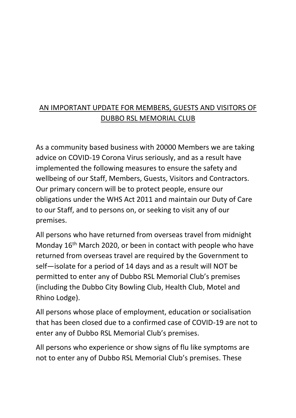## AN IMPORTANT UPDATE FOR MEMBERS, GUESTS AND VISITORS OF DUBBO RSL MEMORIAL CLUB

As a community based business with 20000 Members we are taking advice on COVID-19 Corona Virus seriously, and as a result have implemented the following measures to ensure the safety and wellbeing of our Staff, Members, Guests, Visitors and Contractors. Our primary concern will be to protect people, ensure our obligations under the WHS Act 2011 and maintain our Duty of Care to our Staff, and to persons on, or seeking to visit any of our premises.

All persons who have returned from overseas travel from midnight Monday 16<sup>th</sup> March 2020, or been in contact with people who have returned from overseas travel are required by the Government to self—isolate for a period of 14 days and as a result will NOT be permitted to enter any of Dubbo RSL Memorial Club's premises (including the Dubbo City Bowling Club, Health Club, Motel and Rhino Lodge).

All persons whose place of employment, education or socialisation that has been closed due to a confirmed case of COVID-19 are not to enter any of Dubbo RSL Memorial Club's premises.

All persons who experience or show signs of flu like symptoms are not to enter any of Dubbo RSL Memorial Club's premises. These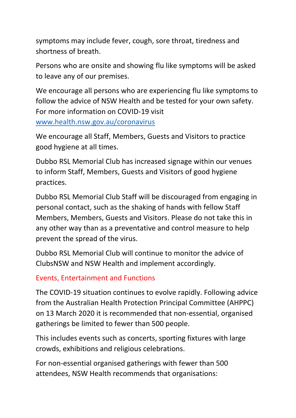symptoms may include fever, cough, sore throat, tiredness and shortness of breath.

Persons who are onsite and showing flu like symptoms will be asked to leave any of our premises.

We encourage all persons who are experiencing flu like symptoms to follow the advice of NSW Health and be tested for your own safety. For more information on COVID-19 visit [www.health.nsw.gov.au/coronavirus](http://www.health.nsw.gov.au/coronavirus)

We encourage all Staff, Members, Guests and Visitors to practice good hygiene at all times.

Dubbo RSL Memorial Club has increased signage within our venues to inform Staff, Members, Guests and Visitors of good hygiene practices.

Dubbo RSL Memorial Club Staff will be discouraged from engaging in personal contact, such as the shaking of hands with fellow Staff Members, Members, Guests and Visitors. Please do not take this in any other way than as a preventative and control measure to help prevent the spread of the virus.

Dubbo RSL Memorial Club will continue to monitor the advice of ClubsNSW and NSW Health and implement accordingly.

## Events, Entertainment and Functions

The COVID-19 situation continues to evolve rapidly. Following advice from the Australian Health Protection Principal Committee (AHPPC) on 13 March 2020 it is recommended that non-essential, organised gatherings be limited to fewer than 500 people.

This includes events such as concerts, sporting fixtures with large crowds, exhibitions and religious celebrations.

For non-essential organised gatherings with fewer than 500 attendees, NSW Health recommends that organisations: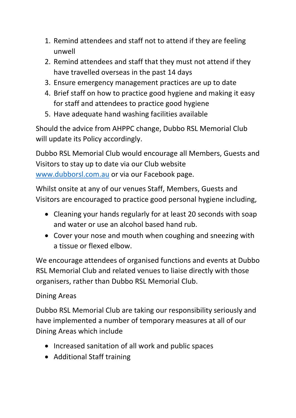- 1. Remind attendees and staff not to attend if they are feeling unwell
- 2. Remind attendees and staff that they must not attend if they have travelled overseas in the past 14 days
- 3. Ensure emergency management practices are up to date
- 4. Brief staff on how to practice good hygiene and making it easy for staff and attendees to practice good hygiene
- 5. Have adequate hand washing facilities available

Should the advice from AHPPC change, Dubbo RSL Memorial Club will update its Policy accordingly.

Dubbo RSL Memorial Club would encourage all Members, Guests and Visitors to stay up to date via our Club website [www.dubborsl.com.au](http://www.dubborsl.com.au/) or via our Facebook page.

Whilst onsite at any of our venues Staff, Members, Guests and Visitors are encouraged to practice good personal hygiene including,

- Cleaning your hands regularly for at least 20 seconds with soap and water or use an alcohol based hand rub.
- Cover your nose and mouth when coughing and sneezing with a tissue or flexed elbow.

We encourage attendees of organised functions and events at Dubbo RSL Memorial Club and related venues to liaise directly with those organisers, rather than Dubbo RSL Memorial Club.

## Dining Areas

Dubbo RSL Memorial Club are taking our responsibility seriously and have implemented a number of temporary measures at all of our Dining Areas which include

- Increased sanitation of all work and public spaces
- Additional Staff training